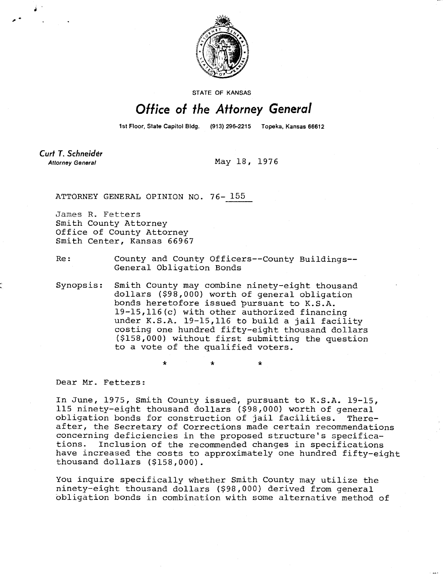

**STATE OF KANSAS** 

## Office of the Attorney General

1st Floor, State Capitol Bldg. (913) 296-2215 Topeka, Kansas 66612

Curt T. Schneider **Attorney General** 

May 18, 1976

ATTORNEY GENERAL OPINION NO. 76- 155

James R. Fetters Smith County Attorney Office of County Attorney Smith Center, Kansas 66967

Re: County and County Officers--County Buildings-- General Obligation Bonds

Synopsis: Smith County may combine ninety-eight thousand dollars (\$98,000) worth of general obligation bonds heretofore issued pursuant to K.S.A. 19-15,116(c) with other authorized financing under K.S.A. 19-15,116 to build a jail facility costing one hundred fifty-eight thousand dollars (\$158,000) without first submitting the question to a vote of the qualified voters.

Dear Mr. Fetters:

In June, 1975, Smith County issued, pursuant to K.S.A. 19-15, 115 ninety-eight thousand dollars (\$98,000) worth of general obligation bonds for construction of jail facilities. Thereafter, the Secretary of Corrections made certain recommendations concerning deficiencies in the proposed structure's specifications. Inclusion of the recommended changes in specifications have increased the costs to approximately one hundred fifty-eight thousand dollars (\$158,000).

You inquire specifically whether Smith County may utilize the ninety-eight thousand dollars (\$98,000) derived from general obligation bonds in combination with some alternative method of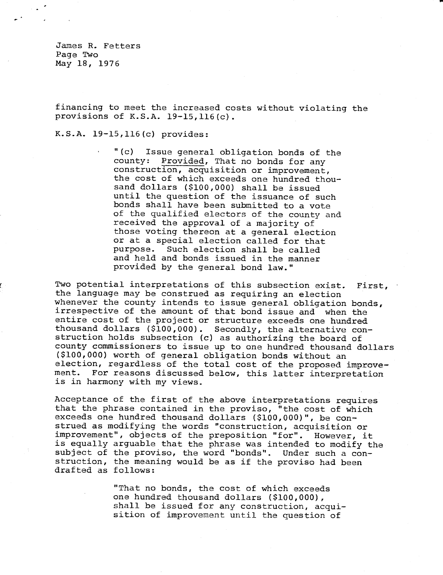James R. Fetters Page Two May 18, 1976

financing to meet the increased costs without violating the provisions of K.S.A. 19-15,116(c).

## K.S.A. 19-15,116(c) provides:

"(c) Issue general obligation bonds of the county: Provided, That no bonds for any construction, acquisition or improvement, the cost of which exceeds one hundred thousand dollars (\$100,000) shall be issued until the question of the issuance of such bonds shall have been submitted to a vote of the qualified electors of the county and received the approval of a majority of those voting thereon at a general election or at a special election called for that purpose. Such election shall be called and held and bonds issued in the manner provided by the general bond law."

Two potential interpretations of this subsection exist. First, the language may be construed as requiring an election whenever the county intends to issue general obligation bonds, irrespective of the amount of that bond issue and when the entire cost of the project or structure exceeds one hundred thousand dollars (\$100,000). Secondly, the alternative construction holds subsection (c) as authorizing the board of county commissioners to issue up to one hundred thousand dollars (\$100,000) worth of general obligation bonds without an election, regardless of the total cost of the proposed improvement. For reasons discussed below, this latter interpretation is in harmony with my views.

Acceptance of the first of the above interpretations requires that the phrase contained in the proviso, "the cost of which exceeds one hundred thousand dollars (\$100,000)", be construed as modifying the words "construction, acquisition or improvement", objects of the preposition "for". However, it is equally arguable that the phrase was intended to modify the subject of the proviso, the word "bonds". Under such a construction, the meaning would be as if the proviso had been drafted as follows:

> "That no bonds, the cost of which exceeds one hundred thousand dollars (\$100,000), shall be issued for any construction, acquisition of improvement until the question of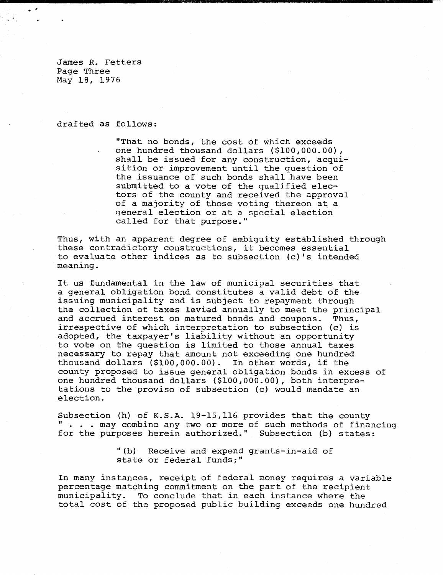James R. Fetters Page Three May 18, 1976

drafted as follows:

"That no bonds, the cost of which exceeds one hundred thousand dollars (\$100,000.00), shall be issued for any construction, acquisition or improvement until the question of the issuance of such bonds shall have been submitted to a vote of the qualified electors of the county and received the approval of a majority of those voting thereon at a general election or at a special election called for that purpose."

Thus, with an apparent degree of ambiguity established through these contradictory constructions, it becomes essential to evaluate other indices as to subsection (c)'s intended meaning.

It us fundamental in the law of municipal securities that a general obligation bond constitutes a valid debt of the issuing municipality and is subject to repayment through the collection of taxes levied annually to meet the principal and accrued interest on matured bonds and coupons. Thus, irrespective of which interpretation to subsection (c) is adopted, the taxpayer's liability without an opportunity to vote on the question is limited to those annual taxes necessary to repay that amount not exceeding one hundred thousand dollars (\$100,000.00). In other words, if the county proposed to issue general obligation bonds in excess of one hundred thousand dollars (\$100,000.00), both interpretations to the proviso of subsection (c) would mandate an election.

Subsection (h) of K.S.A. 19-15,116 provides that the county . . . may combine any two or more of such methods of financing for the purposes herein authorized." Subsection (b) states:

> "(b) Receive and expend grants-in-aid of state or federal funds;"

In many instances, receipt of federal money requires a variable percentage matching commitment on the part of the recipient municipality. To conclude that in each instance where the total cost of the proposed public building exceeds one hundred